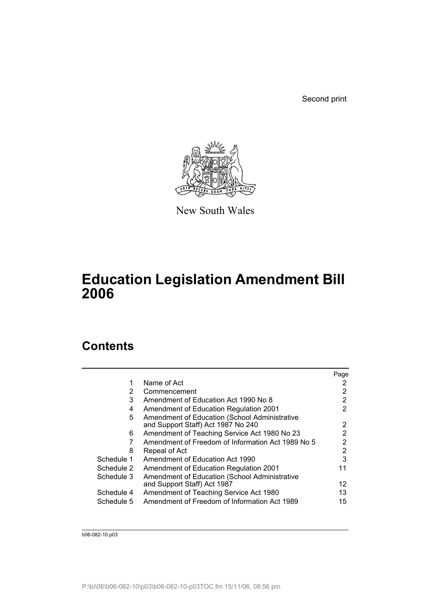Second print



New South Wales

# **Education Legislation Amendment Bill 2006**

## **Contents**

|            |                                                                                     | Page |
|------------|-------------------------------------------------------------------------------------|------|
| 1          | Name of Act                                                                         |      |
| 2          | Commencement                                                                        | 2    |
| 3          | Amendment of Education Act 1990 No 8                                                | 2    |
| 4          | Amendment of Education Regulation 2001                                              | 2    |
| 5          | Amendment of Education (School Administrative<br>and Support Staff) Act 1987 No 240 | 2    |
| 6          | Amendment of Teaching Service Act 1980 No 23                                        | 2    |
|            | Amendment of Freedom of Information Act 1989 No 5                                   | 2    |
| 8          | Repeal of Act                                                                       | 2    |
| Schedule 1 | Amendment of Education Act 1990                                                     | 3    |
| Schedule 2 | Amendment of Education Regulation 2001                                              | 11   |
| Schedule 3 | Amendment of Education (School Administrative                                       |      |
|            | and Support Staff) Act 1987                                                         | 12   |
| Schedule 4 | Amendment of Teaching Service Act 1980                                              | 13   |
| Schedule 5 | Amendment of Freedom of Information Act 1989                                        | 15   |
|            |                                                                                     |      |

b06-082-10.p03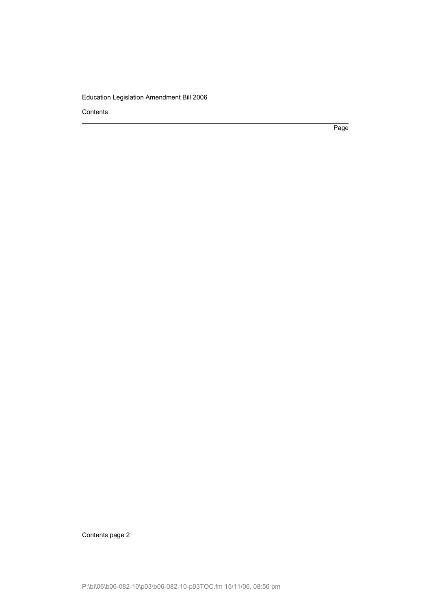Contents

Page

Contents page 2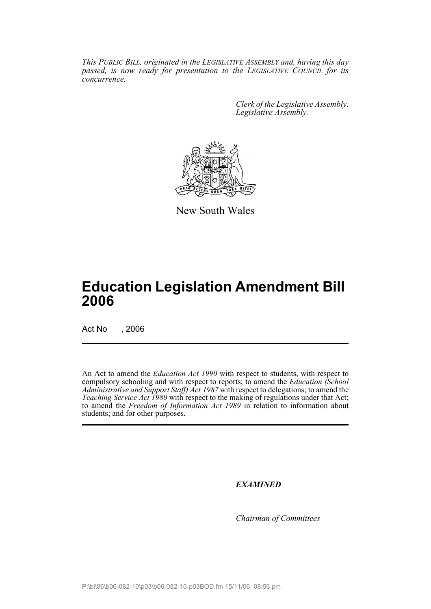*This PUBLIC BILL, originated in the LEGISLATIVE ASSEMBLY and, having this day passed, is now ready for presentation to the LEGISLATIVE COUNCIL for its concurrence.*

> *Clerk of the Legislative Assembly. Legislative Assembly,*



New South Wales

# **Education Legislation Amendment Bill 2006**

Act No , 2006

An Act to amend the *Education Act 1990* with respect to students, with respect to compulsory schooling and with respect to reports; to amend the *Education (School Administrative and Support Staff) Act 1987* with respect to delegations; to amend the *Teaching Service Act 1980* with respect to the making of regulations under that Act; to amend the *Freedom of Information Act 1989* in relation to information about students; and for other purposes.

*EXAMINED*

*Chairman of Committees*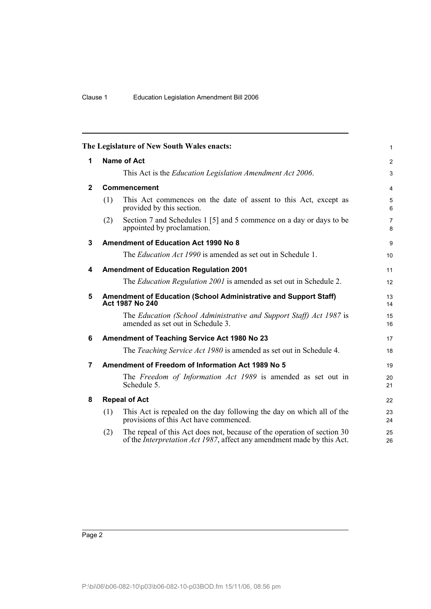<span id="page-3-7"></span><span id="page-3-6"></span><span id="page-3-5"></span><span id="page-3-4"></span><span id="page-3-3"></span><span id="page-3-2"></span><span id="page-3-1"></span><span id="page-3-0"></span>

|              |                                                                                     | The Legislature of New South Wales enacts:                                                                                                                | $\mathbf{1}$        |  |
|--------------|-------------------------------------------------------------------------------------|-----------------------------------------------------------------------------------------------------------------------------------------------------------|---------------------|--|
| 1            |                                                                                     | <b>Name of Act</b>                                                                                                                                        | $\overline{2}$      |  |
|              |                                                                                     | This Act is the Education Legislation Amendment Act 2006.                                                                                                 | 3                   |  |
| $\mathbf{2}$ |                                                                                     | Commencement                                                                                                                                              | $\overline{4}$      |  |
|              | (1)                                                                                 | This Act commences on the date of assent to this Act, except as<br>provided by this section.                                                              | $\sqrt{5}$<br>6     |  |
|              | (2)                                                                                 | Section 7 and Schedules 1 [5] and 5 commence on a day or days to be<br>appointed by proclamation.                                                         | $\overline{7}$<br>8 |  |
| 3            |                                                                                     | <b>Amendment of Education Act 1990 No 8</b>                                                                                                               | 9                   |  |
|              |                                                                                     | The <i>Education Act 1990</i> is amended as set out in Schedule 1.                                                                                        | 10                  |  |
| 4            |                                                                                     | <b>Amendment of Education Regulation 2001</b>                                                                                                             | 11                  |  |
|              |                                                                                     | The <i>Education Regulation 2001</i> is amended as set out in Schedule 2.                                                                                 | 12                  |  |
| 5            | Amendment of Education (School Administrative and Support Staff)<br>Act 1987 No 240 |                                                                                                                                                           |                     |  |
|              |                                                                                     | The Education (School Administrative and Support Staff) Act 1987 is<br>amended as set out in Schedule 3.                                                  | 15<br>16            |  |
| 6            |                                                                                     | Amendment of Teaching Service Act 1980 No 23                                                                                                              | 17                  |  |
|              |                                                                                     | The Teaching Service Act 1980 is amended as set out in Schedule 4.                                                                                        | 18                  |  |
| 7            |                                                                                     | Amendment of Freedom of Information Act 1989 No 5                                                                                                         | 19                  |  |
|              |                                                                                     | The Freedom of Information Act 1989 is amended as set out in<br>Schedule 5.                                                                               | 20<br>21            |  |
| 8            |                                                                                     | <b>Repeal of Act</b>                                                                                                                                      | 22                  |  |
|              | (1)                                                                                 | This Act is repealed on the day following the day on which all of the<br>provisions of this Act have commenced.                                           | 23<br>24            |  |
|              | (2)                                                                                 | The repeal of this Act does not, because of the operation of section 30<br>of the <i>Interpretation Act 1987</i> , affect any amendment made by this Act. | 25<br>26            |  |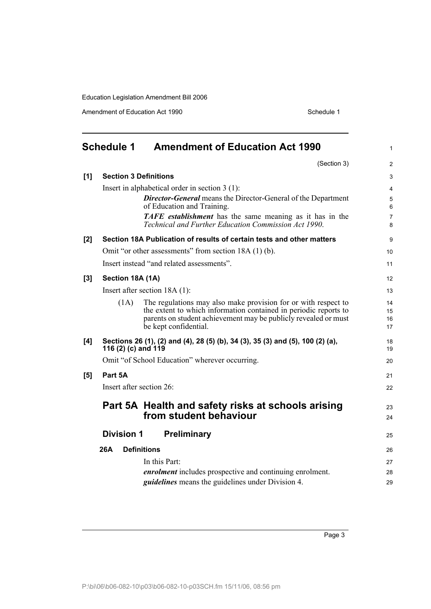Amendment of Education Act 1990 Schedule 1

<span id="page-4-0"></span>

|       | <b>Schedule 1</b>            | <b>Amendment of Education Act 1990</b>                                                                                              | $\mathbf{1}$        |
|-------|------------------------------|-------------------------------------------------------------------------------------------------------------------------------------|---------------------|
|       |                              | (Section 3)                                                                                                                         | 2                   |
| [1]   | <b>Section 3 Definitions</b> |                                                                                                                                     | 3                   |
|       |                              | Insert in alphabetical order in section $3(1)$ :                                                                                    | $\overline{4}$      |
|       |                              | <b>Director-General</b> means the Director-General of the Department<br>of Education and Training.                                  | 5                   |
|       |                              | <b>TAFE</b> establishment has the same meaning as it has in the                                                                     | 6<br>$\overline{7}$ |
|       |                              | Technical and Further Education Commission Act 1990.                                                                                | 8                   |
| [2]   |                              | Section 18A Publication of results of certain tests and other matters                                                               | 9                   |
|       |                              | Omit "or other assessments" from section 18A (1) (b).                                                                               | 10 <sup>1</sup>     |
|       |                              | Insert instead "and related assessments".                                                                                           | 11                  |
| $[3]$ | Section 18A (1A)             |                                                                                                                                     | 12                  |
|       |                              | Insert after section $18A(1)$ :                                                                                                     | 13                  |
|       | (1A)                         | The regulations may also make provision for or with respect to                                                                      | 14                  |
|       |                              | the extent to which information contained in periodic reports to<br>parents on student achievement may be publicly revealed or must | 15<br>16            |
|       |                              | be kept confidential.                                                                                                               | 17                  |
| [4]   | 116 (2) (c) and 119          | Sections 26 (1), (2) and (4), 28 (5) (b), 34 (3), 35 (3) and (5), 100 (2) (a),                                                      | 18<br>19            |
|       |                              | Omit "of School Education" wherever occurring.                                                                                      | 20                  |
| [5]   | Part 5A                      |                                                                                                                                     | 21                  |
|       | Insert after section 26:     |                                                                                                                                     | 22                  |
|       |                              | Part 5A Health and safety risks at schools arising                                                                                  | 23                  |
|       |                              | from student behaviour                                                                                                              | 24                  |
|       | <b>Division 1</b>            | <b>Preliminary</b>                                                                                                                  | 25                  |
|       | 26A                          | <b>Definitions</b>                                                                                                                  | 26                  |
|       |                              | In this Part:                                                                                                                       | 27                  |
|       |                              | <i>enrolment</i> includes prospective and continuing enrolment.                                                                     | 28                  |
|       |                              | <i>guidelines</i> means the guidelines under Division 4.                                                                            | 29                  |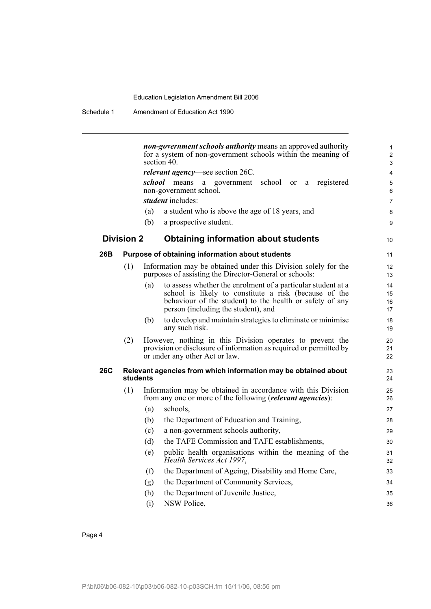Schedule 1 Amendment of Education Act 1990

|     |                   |          | <b>non-government schools authority</b> means an approved authority<br>for a system of non-government schools within the meaning of<br>section 40.                                                                       | $\mathbf{1}$<br>$\overline{c}$<br>3 |
|-----|-------------------|----------|--------------------------------------------------------------------------------------------------------------------------------------------------------------------------------------------------------------------------|-------------------------------------|
|     |                   |          | <i>relevant agency</i> —see section 26C.                                                                                                                                                                                 | 4                                   |
|     |                   |          | school<br><i>school</i> means<br>government<br>registered<br>a<br>or a<br>non-government school.                                                                                                                         | 5<br>6                              |
|     |                   |          | student includes:                                                                                                                                                                                                        | $\overline{7}$                      |
|     |                   | (a)      | a student who is above the age of 18 years, and                                                                                                                                                                          | 8                                   |
|     |                   | (b)      | a prospective student.                                                                                                                                                                                                   | 9                                   |
|     | <b>Division 2</b> |          | <b>Obtaining information about students</b>                                                                                                                                                                              | 10                                  |
| 26B |                   |          | Purpose of obtaining information about students                                                                                                                                                                          | 11                                  |
|     | (1)               |          | Information may be obtained under this Division solely for the<br>purposes of assisting the Director-General or schools:                                                                                                 | 12<br>13                            |
|     |                   | (a)      | to assess whether the enrolment of a particular student at a<br>school is likely to constitute a risk (because of the<br>behaviour of the student) to the health or safety of any<br>person (including the student), and | 14<br>15<br>16<br>17                |
|     |                   | (b)      | to develop and maintain strategies to eliminate or minimise<br>any such risk.                                                                                                                                            | 18<br>19                            |
|     | (2)               |          | However, nothing in this Division operates to prevent the<br>provision or disclosure of information as required or permitted by<br>or under any other Act or law.                                                        | 20<br>21<br>22                      |
| 26C |                   | students | Relevant agencies from which information may be obtained about                                                                                                                                                           | 23<br>24                            |
|     | (1)               |          | Information may be obtained in accordance with this Division<br>from any one or more of the following ( <i>relevant agencies</i> ):                                                                                      | 25<br>26                            |
|     |                   | (a)      | schools,                                                                                                                                                                                                                 | 27                                  |
|     |                   | (b)      | the Department of Education and Training,                                                                                                                                                                                | 28                                  |
|     |                   | (c)      | a non-government schools authority,                                                                                                                                                                                      | 29                                  |
|     |                   | (d)      | the TAFE Commission and TAFE establishments,                                                                                                                                                                             | 30                                  |
|     |                   | (e)      | public health organisations within the meaning of the<br>Health Services Act 1997,                                                                                                                                       | 31<br>32                            |
|     |                   | (f)      | the Department of Ageing, Disability and Home Care,                                                                                                                                                                      | 33                                  |
|     |                   | (g)      | the Department of Community Services,                                                                                                                                                                                    | 34                                  |
|     |                   | (h)      | the Department of Juvenile Justice,                                                                                                                                                                                      | 35                                  |
|     |                   | (i)      | NSW Police,                                                                                                                                                                                                              | 36                                  |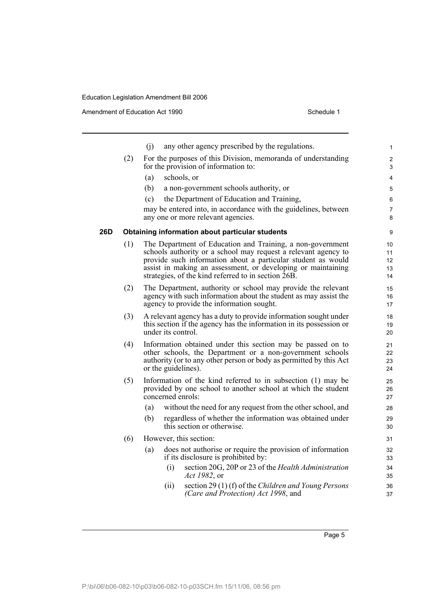Amendment of Education Act 1990 Schedule 1

|     |     | any other agency prescribed by the regulations.<br>(i)                                                                                                                                                                                                                                                                            | 1                          |
|-----|-----|-----------------------------------------------------------------------------------------------------------------------------------------------------------------------------------------------------------------------------------------------------------------------------------------------------------------------------------|----------------------------|
|     | (2) | For the purposes of this Division, memoranda of understanding<br>for the provision of information to:                                                                                                                                                                                                                             | 2<br>3                     |
|     |     | schools, or<br>(a)                                                                                                                                                                                                                                                                                                                | 4                          |
|     |     | (b)<br>a non-government schools authority, or                                                                                                                                                                                                                                                                                     | 5                          |
|     |     | (c)<br>the Department of Education and Training,                                                                                                                                                                                                                                                                                  | 6                          |
|     |     | may be entered into, in accordance with the guidelines, between<br>any one or more relevant agencies.                                                                                                                                                                                                                             | 7<br>8                     |
| 26D |     | Obtaining information about particular students                                                                                                                                                                                                                                                                                   | 9                          |
|     | (1) | The Department of Education and Training, a non-government<br>schools authority or a school may request a relevant agency to<br>provide such information about a particular student as would<br>assist in making an assessment, or developing or maintaining<br>strategies, of the kind referred to in section $\overline{2}6B$ . | 10<br>11<br>12<br>13<br>14 |
|     | (2) | The Department, authority or school may provide the relevant<br>agency with such information about the student as may assist the<br>agency to provide the information sought.                                                                                                                                                     | 15<br>16<br>17             |
|     | (3) | A relevant agency has a duty to provide information sought under<br>this section if the agency has the information in its possession or<br>under its control.                                                                                                                                                                     | 18<br>19<br>20             |
|     | (4) | Information obtained under this section may be passed on to<br>other schools, the Department or a non-government schools<br>authority (or to any other person or body as permitted by this Act<br>or the guidelines).                                                                                                             | 21<br>22<br>23<br>24       |
|     | (5) | Information of the kind referred to in subsection (1) may be<br>provided by one school to another school at which the student<br>concerned enrols:                                                                                                                                                                                | 25<br>26<br>27             |
|     |     | without the need for any request from the other school, and<br>(a)                                                                                                                                                                                                                                                                | 28                         |
|     |     | regardless of whether the information was obtained under<br>(b)<br>this section or otherwise.                                                                                                                                                                                                                                     | 29<br>30                   |
|     | (6) | However, this section:                                                                                                                                                                                                                                                                                                            | 31                         |
|     |     | does not authorise or require the provision of information<br>(a)<br>if its disclosure is prohibited by:                                                                                                                                                                                                                          | 32<br>33                   |
|     |     | section 20G, 20P or 23 of the Health Administration<br>(i)<br>Act 1982, or                                                                                                                                                                                                                                                        | 34<br>35                   |
|     |     | section 29 $(1)$ (f) of the <i>Children and Young Persons</i><br>(ii)<br>(Care and Protection) Act 1998, and                                                                                                                                                                                                                      | 36<br>37                   |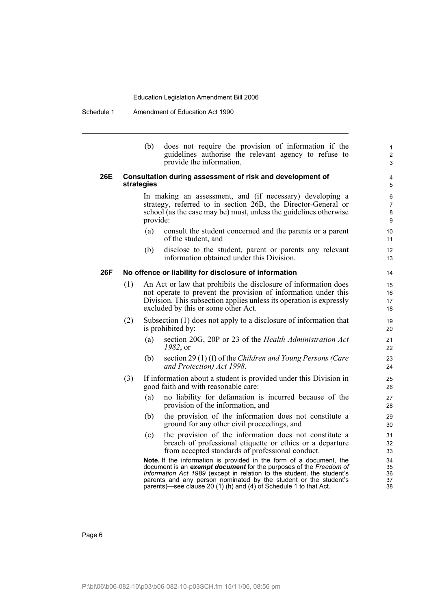Schedule 1 Amendment of Education Act 1990

|     |     | (b)        | does not require the provision of information if the<br>guidelines authorise the relevant agency to refuse to<br>provide the information.                                                                                                                                              | $\mathbf{1}$<br>$\overline{\mathbf{c}}$<br>3 |
|-----|-----|------------|----------------------------------------------------------------------------------------------------------------------------------------------------------------------------------------------------------------------------------------------------------------------------------------|----------------------------------------------|
| 26E |     | strategies | Consultation during assessment of risk and development of                                                                                                                                                                                                                              | 4<br>5                                       |
|     |     | provide:   | In making an assessment, and (if necessary) developing a<br>strategy, referred to in section 26B, the Director-General or<br>school (as the case may be) must, unless the guidelines otherwise                                                                                         | 6<br>7<br>8<br>9                             |
|     |     | (a)        | consult the student concerned and the parents or a parent<br>of the student, and                                                                                                                                                                                                       | 10<br>11                                     |
|     |     | (b)        | disclose to the student, parent or parents any relevant<br>information obtained under this Division.                                                                                                                                                                                   | 12<br>13                                     |
| 26F |     |            | No offence or liability for disclosure of information                                                                                                                                                                                                                                  | 14                                           |
|     | (1) |            | An Act or law that prohibits the disclosure of information does<br>not operate to prevent the provision of information under this<br>Division. This subsection applies unless its operation is expressly<br>excluded by this or some other Act.                                        | 15<br>16<br>17<br>18                         |
|     | (2) |            | Subsection (1) does not apply to a disclosure of information that<br>is prohibited by:                                                                                                                                                                                                 | 19<br>20                                     |
|     |     | (a)        | section 20G, 20P or 23 of the Health Administration Act<br>1982, or                                                                                                                                                                                                                    | 21<br>22                                     |
|     |     | (b)        | section 29 (1) (f) of the Children and Young Persons (Care<br>and Protection) Act 1998.                                                                                                                                                                                                | 23<br>24                                     |
|     | (3) |            | If information about a student is provided under this Division in<br>good faith and with reasonable care:                                                                                                                                                                              | 25<br>26                                     |
|     |     | (a)        | no liability for defamation is incurred because of the<br>provision of the information, and                                                                                                                                                                                            | 27<br>28                                     |
|     |     | (b)        | the provision of the information does not constitute a<br>ground for any other civil proceedings, and                                                                                                                                                                                  | 29<br>30                                     |
|     |     | (c)        | the provision of the information does not constitute a<br>breach of professional etiquette or ethics or a departure<br>from accepted standards of professional conduct.                                                                                                                | 31<br>32<br>33                               |
|     |     |            | Note. If the information is provided in the form of a document, the<br>document is an exempt document for the purposes of the Freedom of<br>Information Act 1989 (except in relation to the student, the student's<br>parents and any person nominated by the student or the student's | 34<br>35<br>36<br>37                         |

parents)—see clause 20 (1) (h) and (4) of Schedule 1 to that Act.

38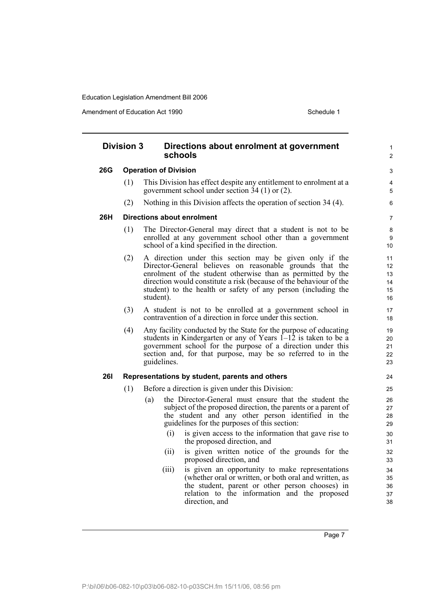Amendment of Education Act 1990 **Schedule 1** Schedule 1

#### **Division 3 Directions about enrolment at government schools 26G Operation of Division** (1) This Division has effect despite any entitlement to enrolment at a government school under section 34 (1) or (2). (2) Nothing in this Division affects the operation of section 34 (4). **26H Directions about enrolment** (1) The Director-General may direct that a student is not to be enrolled at any government school other than a government school of a kind specified in the direction. (2) A direction under this section may be given only if the Director-General believes on reasonable grounds that the enrolment of the student otherwise than as permitted by the direction would constitute a risk (because of the behaviour of the student) to the health or safety of any person (including the student). (3) A student is not to be enrolled at a government school in contravention of a direction in force under this section. (4) Any facility conducted by the State for the purpose of educating students in Kindergarten or any of Years 1–12 is taken to be a government school for the purpose of a direction under this section and, for that purpose, may be so referred to in the guidelines. **26I Representations by student, parents and others** (1) Before a direction is given under this Division: (a) the Director-General must ensure that the student the subject of the proposed direction, the parents or a parent of the student and any other person identified in the guidelines for the purposes of this section: (i) is given access to the information that gave rise to the proposed direction, and (ii) is given written notice of the grounds for the proposed direction, and (iii) is given an opportunity to make representations (whether oral or written, or both oral and written, as the student, parent or other person chooses) in relation to the information and the proposed direction, and 1  $\overline{2}$ 3 4 5 6 7 8 9 10 11 12 13 14 15 16 17 18 19 20 21 22 23 24 25 26 27 28 29 30 31 32 33 34 35 36 37 38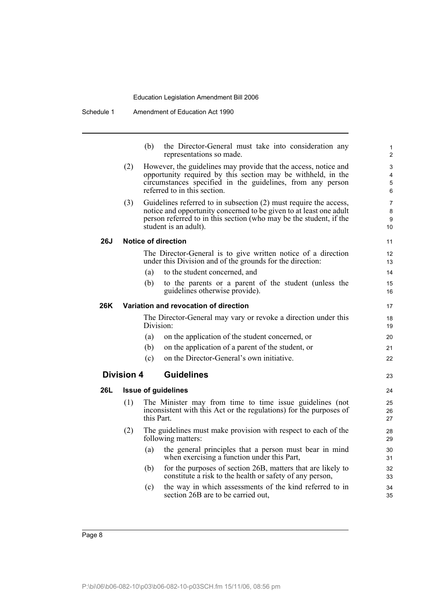|     |                   | (b)        | the Director-General must take into consideration any<br>representations so made.                                                                                                                                                      | 1<br>$\overline{2}$ |
|-----|-------------------|------------|----------------------------------------------------------------------------------------------------------------------------------------------------------------------------------------------------------------------------------------|---------------------|
|     | (2)               |            | However, the guidelines may provide that the access, notice and<br>opportunity required by this section may be withheld, in the<br>circumstances specified in the guidelines, from any person<br>referred to in this section.          | 3<br>4<br>5<br>6    |
|     | (3)               |            | Guidelines referred to in subsection (2) must require the access,<br>notice and opportunity concerned to be given to at least one adult<br>person referred to in this section (who may be the student, if the<br>student is an adult). | 7<br>8<br>9<br>10   |
| 26J |                   |            | <b>Notice of direction</b>                                                                                                                                                                                                             | 11                  |
|     |                   |            | The Director-General is to give written notice of a direction<br>under this Division and of the grounds for the direction:                                                                                                             | 12<br>13            |
|     |                   | (a)        | to the student concerned, and                                                                                                                                                                                                          | 14                  |
|     |                   | (b)        | to the parents or a parent of the student (unless the<br>guidelines otherwise provide).                                                                                                                                                | 15<br>16            |
| 26K |                   |            | Variation and revocation of direction                                                                                                                                                                                                  | 17                  |
|     |                   | Division:  | The Director-General may vary or revoke a direction under this                                                                                                                                                                         | 18<br>19            |
|     |                   | (a)        | on the application of the student concerned, or                                                                                                                                                                                        | 20                  |
|     |                   | (b)        | on the application of a parent of the student, or                                                                                                                                                                                      | 21                  |
|     |                   | (c)        | on the Director-General's own initiative.                                                                                                                                                                                              | 22                  |
|     | <b>Division 4</b> |            | <b>Guidelines</b>                                                                                                                                                                                                                      | 23                  |
| 26L |                   |            | <b>Issue of guidelines</b>                                                                                                                                                                                                             | 24                  |
|     | (1)               | this Part. | The Minister may from time to time issue guidelines (not<br>inconsistent with this Act or the regulations) for the purposes of                                                                                                         | 25<br>26<br>27      |
|     | (2)               |            | The guidelines must make provision with respect to each of the<br>following matters:                                                                                                                                                   | 28<br>29            |
|     |                   | (a)        | the general principles that a person must bear in mind<br>when exercising a function under this Part,                                                                                                                                  | 30<br>31            |
|     |                   | (b)        | for the purposes of section 26B, matters that are likely to<br>constitute a risk to the health or safety of any person,                                                                                                                | 32<br>33            |
|     |                   | (c)        | the way in which assessments of the kind referred to in<br>section 26B are to be carried out,                                                                                                                                          | 34<br>35            |
|     |                   |            |                                                                                                                                                                                                                                        |                     |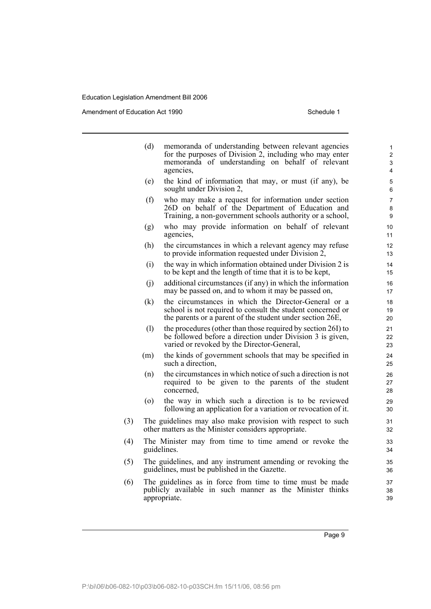Amendment of Education Act 1990 Schedule 1

|     | (d)                                                                               | memoranda of understanding between relevant agencies<br>for the purposes of Division $2$ , including who may enter<br>memoranda of understanding on behalf of relevant<br>agencies, | $\mathbf{1}$<br>$\overline{2}$<br>3<br>4 |  |  |
|-----|-----------------------------------------------------------------------------------|-------------------------------------------------------------------------------------------------------------------------------------------------------------------------------------|------------------------------------------|--|--|
|     | (e)                                                                               | the kind of information that may, or must (if any), be<br>sought under Division 2,                                                                                                  | 5<br>6                                   |  |  |
|     | (f)                                                                               | who may make a request for information under section<br>26D on behalf of the Department of Education and<br>Training, a non-government schools authority or a school,               | $\overline{7}$<br>8<br>9                 |  |  |
|     | (g)                                                                               | who may provide information on behalf of relevant<br>agencies,                                                                                                                      | 10<br>11                                 |  |  |
|     | (h)                                                                               | the circumstances in which a relevant agency may refuse<br>to provide information requested under Division 2,                                                                       | 12<br>13                                 |  |  |
|     | (i)                                                                               | the way in which information obtained under Division 2 is<br>to be kept and the length of time that it is to be kept,                                                               | 14<br>15                                 |  |  |
|     | (i)                                                                               | additional circumstances (if any) in which the information<br>may be passed on, and to whom it may be passed on,                                                                    | 16<br>17                                 |  |  |
|     | (k)                                                                               | the circumstances in which the Director-General or a<br>school is not required to consult the student concerned or<br>the parents or a parent of the student under section 26E,     | 18<br>19<br>20                           |  |  |
|     | (1)                                                                               | the procedures (other than those required by section 26I) to<br>be followed before a direction under Division 3 is given,<br>varied or revoked by the Director-General,             | 21<br>22<br>23                           |  |  |
|     | (m)                                                                               | the kinds of government schools that may be specified in<br>such a direction,                                                                                                       | 24<br>25                                 |  |  |
|     | (n)                                                                               | the circumstances in which notice of such a direction is not<br>required to be given to the parents of the student<br>concerned.                                                    | 26<br>27<br>28                           |  |  |
|     | (0)                                                                               | the way in which such a direction is to be reviewed<br>following an application for a variation or revocation of it.                                                                | 29<br>30                                 |  |  |
| (3) |                                                                                   | The guidelines may also make provision with respect to such<br>other matters as the Minister considers appropriate.                                                                 | 31<br>32                                 |  |  |
| (4) | The Minister may from time to time amend or revoke the<br>33<br>guidelines.<br>34 |                                                                                                                                                                                     |                                          |  |  |
| (5) |                                                                                   | The guidelines, and any instrument amending or revoking the<br>guidelines, must be published in the Gazette.                                                                        | 35<br>36                                 |  |  |
| (6) |                                                                                   | The guidelines as in force from time to time must be made<br>publicly available in such manner as the Minister thinks<br>appropriate.                                               | 37<br>38<br>39                           |  |  |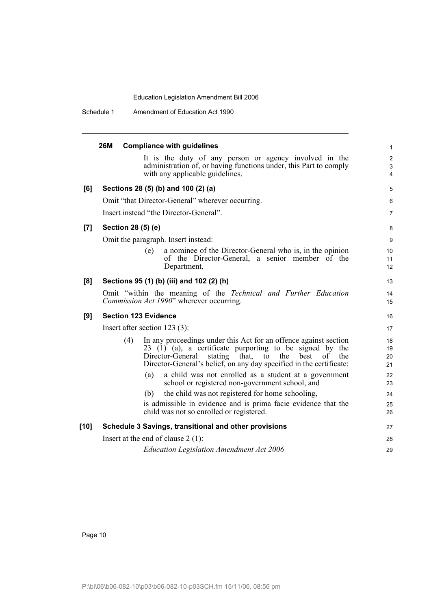Schedule 1 Amendment of Education Act 1990

|      | 26M<br><b>Compliance with guidelines</b>         | 1                                                                                                                                                                                                                                                                          |
|------|--------------------------------------------------|----------------------------------------------------------------------------------------------------------------------------------------------------------------------------------------------------------------------------------------------------------------------------|
|      |                                                  | It is the duty of any person or agency involved in the<br>$\overline{c}$                                                                                                                                                                                                   |
|      |                                                  | administration of, or having functions under, this Part to comply<br>3<br>with any applicable guidelines.<br>4                                                                                                                                                             |
| [6]  | Sections 28 (5) (b) and 100 (2) (a)              | 5                                                                                                                                                                                                                                                                          |
|      | Omit "that Director-General" wherever occurring. | 6                                                                                                                                                                                                                                                                          |
|      | Insert instead "the Director-General".           | 7                                                                                                                                                                                                                                                                          |
| [7]  | Section 28 (5) (e)                               | 8                                                                                                                                                                                                                                                                          |
|      | Omit the paragraph. Insert instead:              | 9                                                                                                                                                                                                                                                                          |
|      | (e)                                              | a nominee of the Director-General who is, in the opinion<br>10                                                                                                                                                                                                             |
|      | Department,                                      | of the Director-General, a senior member of the<br>11<br>12                                                                                                                                                                                                                |
| [8]  | Sections 95 (1) (b) (iii) and 102 (2) (h)        | 13                                                                                                                                                                                                                                                                         |
|      | Commission Act 1990" wherever occurring.         | Omit "within the meaning of the Technical and Further Education<br>14<br>15                                                                                                                                                                                                |
| [9]  | <b>Section 123 Evidence</b>                      | 16                                                                                                                                                                                                                                                                         |
|      | Insert after section $123(3)$ :                  | 17                                                                                                                                                                                                                                                                         |
|      | (4)<br>Director-General                          | In any proceedings under this Act for an offence against section<br>18<br>$23$ (1) (a), a certificate purporting to be signed by the<br>19<br>that, to the best<br>stating<br>of<br>the<br>20<br>Director-General's belief, on any day specified in the certificate:<br>21 |
|      | (a)                                              | a child was not enrolled as a student at a government<br>22<br>school or registered non-government school, and<br>23                                                                                                                                                       |
|      | (b)                                              | the child was not registered for home schooling,<br>24                                                                                                                                                                                                                     |
|      |                                                  | is admissible in evidence and is prima facie evidence that the<br>25<br>child was not so enrolled or registered.<br>26                                                                                                                                                     |
| [10] |                                                  | Schedule 3 Savings, transitional and other provisions<br>27                                                                                                                                                                                                                |
|      | Insert at the end of clause $2(1)$ :             | 28                                                                                                                                                                                                                                                                         |
|      |                                                  | <b>Education Legislation Amendment Act 2006</b><br>29                                                                                                                                                                                                                      |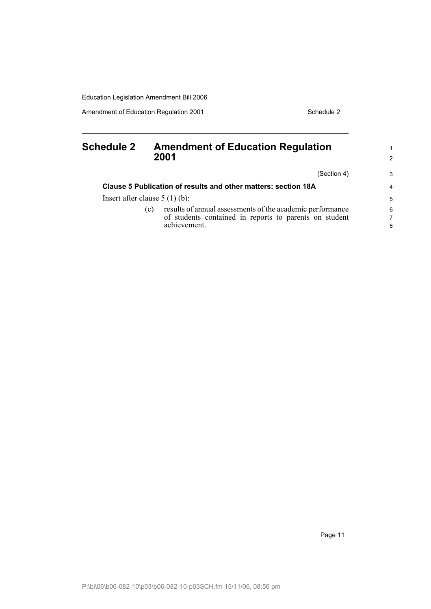Amendment of Education Regulation 2001 and the Schedule 2

#### <span id="page-12-0"></span>**Schedule 2 Amendment of Education Regulation 2001** (Section 4) **Clause 5 Publication of results and other matters: section 18A** Insert after clause 5 (1) (b): (c) results of annual assessments of the academic performance of students contained in reports to parents on student achievement. 1 2 3 4 5 6 7 8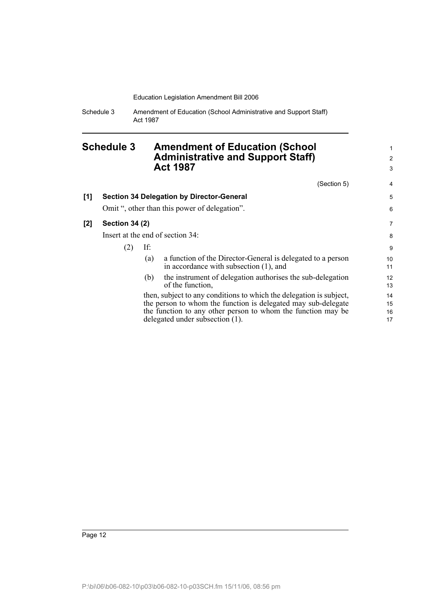Schedule 3 Amendment of Education (School Administrative and Support Staff) Act 1987

## <span id="page-13-0"></span>**Schedule 3 Amendment of Education (School Administrative and Support Staff) Act 1987**

(Section 5)

1 2 3

4

| [1] |                       |     | <b>Section 34 Delegation by Director-General</b>                                                                                                                                                                                        | 5                    |
|-----|-----------------------|-----|-----------------------------------------------------------------------------------------------------------------------------------------------------------------------------------------------------------------------------------------|----------------------|
|     |                       |     | Omit ", other than this power of delegation".                                                                                                                                                                                           | 6                    |
| [2] | <b>Section 34 (2)</b> |     |                                                                                                                                                                                                                                         | $\overline{7}$       |
|     |                       |     | Insert at the end of section 34:                                                                                                                                                                                                        | 8                    |
|     | (2)                   | If: |                                                                                                                                                                                                                                         | 9                    |
|     |                       | (a) | a function of the Director-General is delegated to a person<br>in accordance with subsection (1), and                                                                                                                                   | 10<br>11             |
|     |                       | (b) | the instrument of delegation authorises the sub-delegation<br>of the function,                                                                                                                                                          | 12<br>13             |
|     |                       |     | then, subject to any conditions to which the delegation is subject,<br>the person to whom the function is delegated may sub-delegate<br>the function to any other person to whom the function may be<br>delegated under subsection (1). | 14<br>15<br>16<br>17 |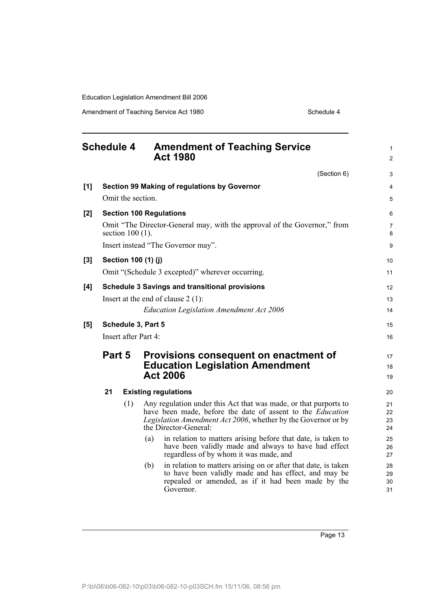Amendment of Teaching Service Act 1980 Schedule 4

<span id="page-14-0"></span>

| <b>Schedule 4</b> |     | <b>Amendment of Teaching Service</b><br><b>Act 1980</b> |                                                                                                                                                                                           | $\mathbf{1}$<br>$\overline{2}$                                                                                                                                                                                                                                                                                                                                                                                                                                                                                                                                                                                                                                                                                                                                                                                                                                                                                        |
|-------------------|-----|---------------------------------------------------------|-------------------------------------------------------------------------------------------------------------------------------------------------------------------------------------------|-----------------------------------------------------------------------------------------------------------------------------------------------------------------------------------------------------------------------------------------------------------------------------------------------------------------------------------------------------------------------------------------------------------------------------------------------------------------------------------------------------------------------------------------------------------------------------------------------------------------------------------------------------------------------------------------------------------------------------------------------------------------------------------------------------------------------------------------------------------------------------------------------------------------------|
|                   |     |                                                         | (Section 6)                                                                                                                                                                               | 3                                                                                                                                                                                                                                                                                                                                                                                                                                                                                                                                                                                                                                                                                                                                                                                                                                                                                                                     |
|                   |     |                                                         |                                                                                                                                                                                           | 4                                                                                                                                                                                                                                                                                                                                                                                                                                                                                                                                                                                                                                                                                                                                                                                                                                                                                                                     |
|                   |     |                                                         |                                                                                                                                                                                           | 5                                                                                                                                                                                                                                                                                                                                                                                                                                                                                                                                                                                                                                                                                                                                                                                                                                                                                                                     |
|                   |     |                                                         |                                                                                                                                                                                           | 6                                                                                                                                                                                                                                                                                                                                                                                                                                                                                                                                                                                                                                                                                                                                                                                                                                                                                                                     |
|                   |     |                                                         |                                                                                                                                                                                           | $\overline{7}$<br>8                                                                                                                                                                                                                                                                                                                                                                                                                                                                                                                                                                                                                                                                                                                                                                                                                                                                                                   |
|                   |     |                                                         |                                                                                                                                                                                           | 9                                                                                                                                                                                                                                                                                                                                                                                                                                                                                                                                                                                                                                                                                                                                                                                                                                                                                                                     |
|                   |     |                                                         |                                                                                                                                                                                           | 10                                                                                                                                                                                                                                                                                                                                                                                                                                                                                                                                                                                                                                                                                                                                                                                                                                                                                                                    |
|                   |     |                                                         |                                                                                                                                                                                           | 11                                                                                                                                                                                                                                                                                                                                                                                                                                                                                                                                                                                                                                                                                                                                                                                                                                                                                                                    |
|                   |     |                                                         |                                                                                                                                                                                           | 12                                                                                                                                                                                                                                                                                                                                                                                                                                                                                                                                                                                                                                                                                                                                                                                                                                                                                                                    |
|                   |     |                                                         |                                                                                                                                                                                           | 13                                                                                                                                                                                                                                                                                                                                                                                                                                                                                                                                                                                                                                                                                                                                                                                                                                                                                                                    |
|                   |     |                                                         |                                                                                                                                                                                           | 14                                                                                                                                                                                                                                                                                                                                                                                                                                                                                                                                                                                                                                                                                                                                                                                                                                                                                                                    |
|                   |     |                                                         |                                                                                                                                                                                           | 15                                                                                                                                                                                                                                                                                                                                                                                                                                                                                                                                                                                                                                                                                                                                                                                                                                                                                                                    |
|                   |     |                                                         |                                                                                                                                                                                           | 16                                                                                                                                                                                                                                                                                                                                                                                                                                                                                                                                                                                                                                                                                                                                                                                                                                                                                                                    |
|                   |     |                                                         |                                                                                                                                                                                           | 17                                                                                                                                                                                                                                                                                                                                                                                                                                                                                                                                                                                                                                                                                                                                                                                                                                                                                                                    |
|                   |     |                                                         |                                                                                                                                                                                           | 18                                                                                                                                                                                                                                                                                                                                                                                                                                                                                                                                                                                                                                                                                                                                                                                                                                                                                                                    |
|                   |     |                                                         |                                                                                                                                                                                           | 19                                                                                                                                                                                                                                                                                                                                                                                                                                                                                                                                                                                                                                                                                                                                                                                                                                                                                                                    |
| 21                |     |                                                         |                                                                                                                                                                                           | 20                                                                                                                                                                                                                                                                                                                                                                                                                                                                                                                                                                                                                                                                                                                                                                                                                                                                                                                    |
|                   | (1) |                                                         |                                                                                                                                                                                           | 21<br>22<br>23                                                                                                                                                                                                                                                                                                                                                                                                                                                                                                                                                                                                                                                                                                                                                                                                                                                                                                        |
|                   |     |                                                         |                                                                                                                                                                                           | 24                                                                                                                                                                                                                                                                                                                                                                                                                                                                                                                                                                                                                                                                                                                                                                                                                                                                                                                    |
|                   |     | (a)                                                     | have been validly made and always to have had effect<br>regardless of by whom it was made, and                                                                                            | 25<br>26<br>27                                                                                                                                                                                                                                                                                                                                                                                                                                                                                                                                                                                                                                                                                                                                                                                                                                                                                                        |
|                   |     | (b)                                                     | in relation to matters arising on or after that date, is taken<br>to have been validly made and has effect, and may be<br>repealed or amended, as if it had been made by the<br>Governor. | 28<br>29<br>30<br>31                                                                                                                                                                                                                                                                                                                                                                                                                                                                                                                                                                                                                                                                                                                                                                                                                                                                                                  |
|                   |     | Part 5                                                  | Omit the section.<br>section $100(1)$ .                                                                                                                                                   | Section 99 Making of regulations by Governor<br><b>Section 100 Regulations</b><br>Omit "The Director-General may, with the approval of the Governor," from<br>Insert instead "The Governor may".<br>Section 100 (1) (j)<br>Omit "(Schedule 3 excepted)" wherever occurring.<br><b>Schedule 3 Savings and transitional provisions</b><br>Insert at the end of clause $2(1)$ :<br><b>Education Legislation Amendment Act 2006</b><br>Schedule 3, Part 5<br>Insert after Part 4:<br>Provisions consequent on enactment of<br><b>Education Legislation Amendment</b><br><b>Act 2006</b><br><b>Existing regulations</b><br>Any regulation under this Act that was made, or that purports to<br>have been made, before the date of assent to the <i>Education</i><br>Legislation Amendment Act 2006, whether by the Governor or by<br>the Director-General:<br>in relation to matters arising before that date, is taken to |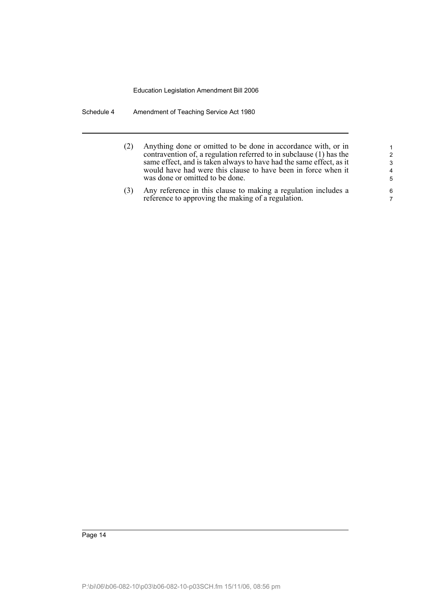| Schedule 4 | Amendment of Teaching Service Act 1980 |  |  |  |  |
|------------|----------------------------------------|--|--|--|--|
|------------|----------------------------------------|--|--|--|--|

(2) Anything done or omitted to be done in accordance with, or in contravention of, a regulation referred to in subclause (1) has the same effect, and is taken always to have had the same effect, as it would have had were this clause to have been in force when it was done or omitted to be done.

(3) Any reference in this clause to making a regulation includes a reference to approving the making of a regulation.